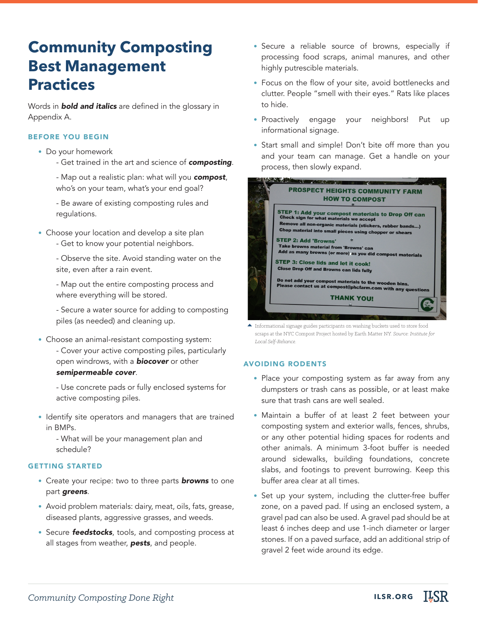# **Community Composting Best Management Practices**

Words in *bold and italics* are defined in the glossary in Appendix A.

## BEFORE YOU BEGIN

- Do your homework
	- Get trained in the art and science of *composting*.

- Map out a realistic plan: what will you *compost*, who's on your team, what's your end goal?

- Be aware of existing composting rules and regulations.

- Choose your location and develop a site plan
	- Get to know your potential neighbors.

- Observe the site. Avoid standing water on the site, even after a rain event.

- Map out the entire composting process and where everything will be stored.

- Secure a water source for adding to composting piles (as needed) and cleaning up.

• Choose an animal-resistant composting system: - Cover your active composting piles, particularly open windrows, with a *biocover* or other *semipermeable cover*.

- Use concrete pads or fully enclosed systems for active composting piles.

• Identify site operators and managers that are trained in BMPs.

- What will be your management plan and schedule?

## GETTING STARTED

- Create your recipe: two to three parts *browns* to one part *greens*.
- Avoid problem materials: dairy, meat, oils, fats, grease, diseased plants, aggressive grasses, and weeds.
- Secure *feedstocks*, tools, and composting process at all stages from weather, *pests*, and people.
- Secure a reliable source of browns, especially if processing food scraps, animal manures, and other highly putrescible materials.
- Focus on the flow of your site, avoid bottlenecks and clutter. People "smell with their eyes." Rats like places to hide.
- Proactively engage your neighbors! Put up informational signage.
- Start small and simple! Don't bite off more than you and your team can manage. Get a handle on your process, then slowly expand.



Informational signage guides participants on washing buckets used to store food scraps at the NYC Compost Project hosted by Earth Matter NY. *Source: Institute for Local Self-Reliance.* 

#### AVOIDING RODENTS

- Place your composting system as far away from any dumpsters or trash cans as possible, or at least make sure that trash cans are well sealed.
- Maintain a buffer of at least 2 feet between your composting system and exterior walls, fences, shrubs, or any other potential hiding spaces for rodents and other animals. A minimum 3-foot buffer is needed around sidewalks, building foundations, concrete slabs, and footings to prevent burrowing. Keep this buffer area clear at all times.
- Set up your system, including the clutter-free buffer zone, on a paved pad. If using an enclosed system, a gravel pad can also be used. A gravel pad should be at least 6 inches deep and use 1-inch diameter or larger stones. If on a paved surface, add an additional strip of gravel 2 feet wide around its edge.

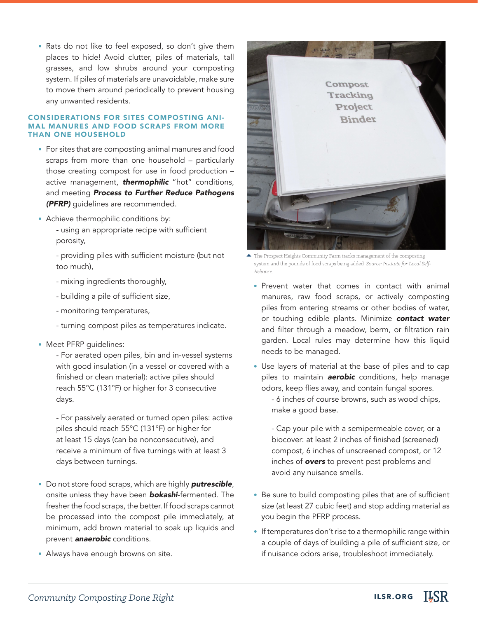• Rats do not like to feel exposed, so don't give them places to hide! Avoid clutter, piles of materials, tall grasses, and low shrubs around your composting system. If piles of materials are unavoidable, make sure to move them around periodically to prevent housing any unwanted residents.

## CONSIDERATIONS FOR SITES COMPOSTING ANI-MAL MANURES AND FOOD SCRAPS FROM MORE THAN ONE HOUSEHOLD

- For sites that are composting animal manures and food scraps from more than one household – particularly those creating compost for use in food production – active management, *thermophilic* "hot" conditions, and meeting *Process to Further Reduce Pathogens (PFRP)* guidelines are recommended.
- Achieve thermophilic conditions by:
	- using an appropriate recipe with sufficient porosity,

- providing piles with sufficient moisture (but not too much),

- mixing ingredients thoroughly,
- building a pile of sufficient size,
- monitoring temperatures,
- turning compost piles as temperatures indicate.
- Meet PFRP guidelines:
	- For aerated open piles, bin and in-vessel systems with good insulation (in a vessel or covered with a finished or clean material): active piles should reach 55°C (131°F) or higher for 3 consecutive days.

- For passively aerated or turned open piles: active piles should reach 55°C (131°F) or higher for at least 15 days (can be nonconsecutive), and receive a minimum of five turnings with at least 3 days between turnings.

- Do not store food scraps, which are highly *putrescible*, onsite unless they have been *bokashi*-fermented. The fresher the food scraps, the better. If food scraps cannot be processed into the compost pile immediately, at minimum, add brown material to soak up liquids and prevent *anaerobic* conditions.
- Always have enough browns on site.



The Prospect Heights Community Farm tracks management of the composting system and the pounds of food scraps being added*. Source: Institute for Local Self-Reliance.*

- Prevent water that comes in contact with animal manures, raw food scraps, or actively composting piles from entering streams or other bodies of water, or touching edible plants. Minimize *contact water* and filter through a meadow, berm, or filtration rain garden. Local rules may determine how this liquid needs to be managed.
- Use layers of material at the base of piles and to cap piles to maintain *aerobic* conditions, help manage odors, keep flies away, and contain fungal spores.

- 6 inches of course browns, such as wood chips, make a good base.

- Cap your pile with a semipermeable cover, or a biocover: at least 2 inches of finished (screened) compost, 6 inches of unscreened compost, or 12 inches of *overs* to prevent pest problems and avoid any nuisance smells.

- Be sure to build composting piles that are of sufficient size (at least 27 cubic feet) and stop adding material as you begin the PFRP process.
- If temperatures don't rise to a thermophilic range within a couple of days of building a pile of sufficient size, or if nuisance odors arise, troubleshoot immediately.

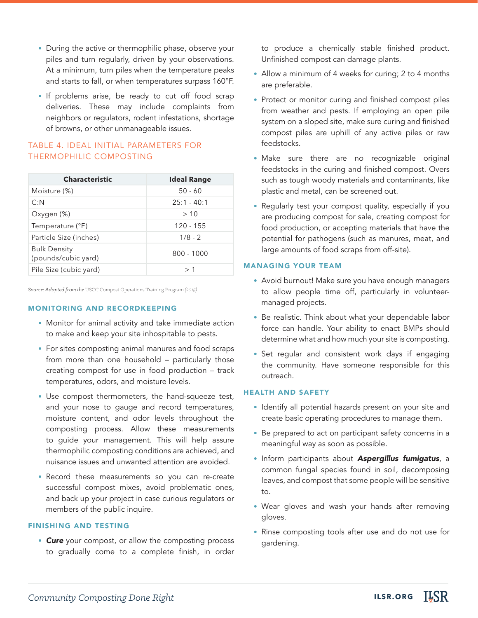- During the active or thermophilic phase, observe your piles and turn regularly, driven by your observations. At a minimum, turn piles when the temperature peaks and starts to fall, or when temperatures surpass 160°F.
- If problems arise, be ready to cut off food scrap deliveries. These may include complaints from neighbors or regulators, rodent infestations, shortage of browns, or other unmanageable issues.

# TABLE 4. IDEAL INITIAL PARAMETERS FOR THERMOPHILIC COMPOSTING

| <b>Characteristic</b>                      | <b>Ideal Range</b> |
|--------------------------------------------|--------------------|
| Moisture (%)                               | $50 - 60$          |
| C: N                                       | $25:1 - 40:1$      |
| Oxygen (%)                                 | >10                |
| Temperature (°F)                           | $120 - 155$        |
| Particle Size (inches)                     | $1/8 - 2$          |
| <b>Bulk Density</b><br>(pounds/cubic yard) | $800 - 1000$       |
| Pile Size (cubic yard)                     | >1                 |

*Source: Adapted from the* USCC Compost Operations Training Program *(2015).*

# MONITORING AND RECORDKEEPING

- Monitor for animal activity and take immediate action to make and keep your site inhospitable to pests.
- For sites composting animal manures and food scraps from more than one household – particularly those creating compost for use in food production – track temperatures, odors, and moisture levels.
- Use compost thermometers, the hand-squeeze test, and your nose to gauge and record temperatures, moisture content, and odor levels throughout the composting process. Allow these measurements to guide your management. This will help assure thermophilic composting conditions are achieved, and nuisance issues and unwanted attention are avoided.
- Record these measurements so you can re-create successful compost mixes, avoid problematic ones, and back up your project in case curious regulators or members of the public inquire.

## FINISHING AND TESTING

• *Cure* your compost, or allow the composting process to gradually come to a complete finish, in order

to produce a chemically stable finished product. Unfinished compost can damage plants.

- Allow a minimum of 4 weeks for curing; 2 to 4 months are preferable.
- Protect or monitor curing and finished compost piles from weather and pests. If employing an open pile system on a sloped site, make sure curing and finished compost piles are uphill of any active piles or raw feedstocks.
- Make sure there are no recognizable original feedstocks in the curing and finished compost. Overs such as tough woody materials and contaminants, like plastic and metal, can be screened out.
- Regularly test your compost quality, especially if you are producing compost for sale, creating compost for food production, or accepting materials that have the potential for pathogens (such as manures, meat, and large amounts of food scraps from off-site).

## MANAGING YOUR TEAM

- Avoid burnout! Make sure you have enough managers to allow people time off, particularly in volunteermanaged projects.
- Be realistic. Think about what your dependable labor force can handle. Your ability to enact BMPs should determine what and how much your site is composting.
- Set regular and consistent work days if engaging the community. Have someone responsible for this outreach.

## HEALTH AND SAFETY

- Identify all potential hazards present on your site and create basic operating procedures to manage them.
- Be prepared to act on participant safety concerns in a meaningful way as soon as possible.
- Inform participants about *Aspergillus fumigatus*, a common fungal species found in soil, decomposing leaves, and compost that some people will be sensitive to.
- Wear gloves and wash your hands after removing gloves.
- Rinse composting tools after use and do not use for gardening.